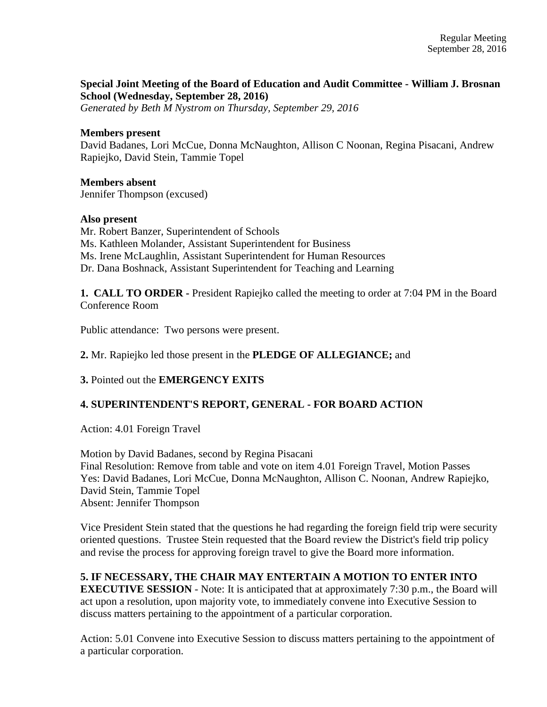# **Special Joint Meeting of the Board of Education and Audit Committee - William J. Brosnan School (Wednesday, September 28, 2016)**

*Generated by Beth M Nystrom on Thursday, September 29, 2016*

### **Members present**

David Badanes, Lori McCue, Donna McNaughton, Allison C Noonan, Regina Pisacani, Andrew Rapiejko, David Stein, Tammie Topel

## **Members absent**

Jennifer Thompson (excused)

## **Also present**

Mr. Robert Banzer, Superintendent of Schools Ms. Kathleen Molander, Assistant Superintendent for Business Ms. Irene McLaughlin, Assistant Superintendent for Human Resources Dr. Dana Boshnack, Assistant Superintendent for Teaching and Learning

**1. CALL TO ORDER -** President Rapiejko called the meeting to order at 7:04 PM in the Board Conference Room

Public attendance: Two persons were present.

**2.** Mr. Rapiejko led those present in the **PLEDGE OF ALLEGIANCE;** and

# **3.** Pointed out the **EMERGENCY EXITS**

# **4. SUPERINTENDENT'S REPORT, GENERAL - FOR BOARD ACTION**

Action: 4.01 Foreign Travel

Motion by David Badanes, second by Regina Pisacani Final Resolution: Remove from table and vote on item 4.01 Foreign Travel, Motion Passes Yes: David Badanes, Lori McCue, Donna McNaughton, Allison C. Noonan, Andrew Rapiejko, David Stein, Tammie Topel Absent: Jennifer Thompson

Vice President Stein stated that the questions he had regarding the foreign field trip were security oriented questions. Trustee Stein requested that the Board review the District's field trip policy and revise the process for approving foreign travel to give the Board more information.

# **5. IF NECESSARY, THE CHAIR MAY ENTERTAIN A MOTION TO ENTER INTO**

**EXECUTIVE SESSION** - Note: It is anticipated that at approximately 7:30 p.m., the Board will act upon a resolution, upon majority vote, to immediately convene into Executive Session to discuss matters pertaining to the appointment of a particular corporation.

Action: 5.01 Convene into Executive Session to discuss matters pertaining to the appointment of a particular corporation.